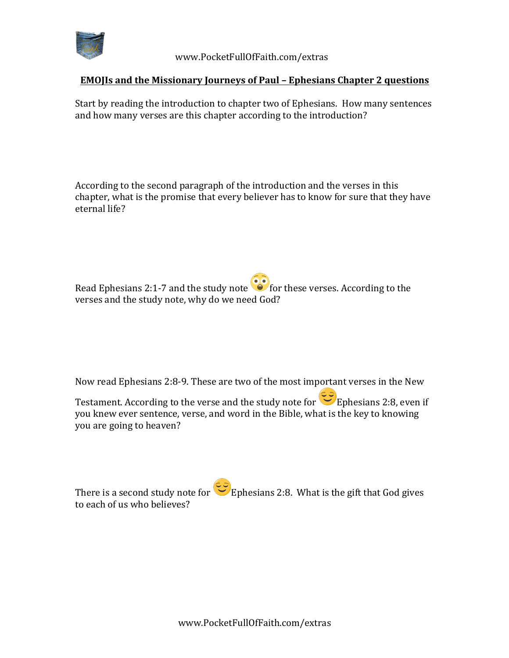

 www.PocketFullOfFaith.com/extras

## **EMOJIs** and the Missionary Journeys of Paul – Ephesians Chapter 2 questions

Start by reading the introduction to chapter two of Ephesians. How many sentences and how many verses are this chapter according to the introduction?

According to the second paragraph of the introduction and the verses in this chapter, what is the promise that every believer has to know for sure that they have eternal life?

Read Ephesians 2:1-7 and the study note  $\bullet$  for these verses. According to the verses and the study note, why do we need God?

Now read Ephesians 2:8-9. These are two of the most important verses in the New

Testament. According to the verse and the study note for  $\overline{\text{C5}}$  Ephesians 2:8, even if you knew ever sentence, verse, and word in the Bible, what is the key to knowing you are going to heaven?

There is a second study note for Ephesians 2:8. What is the gift that God gives to each of us who believes?